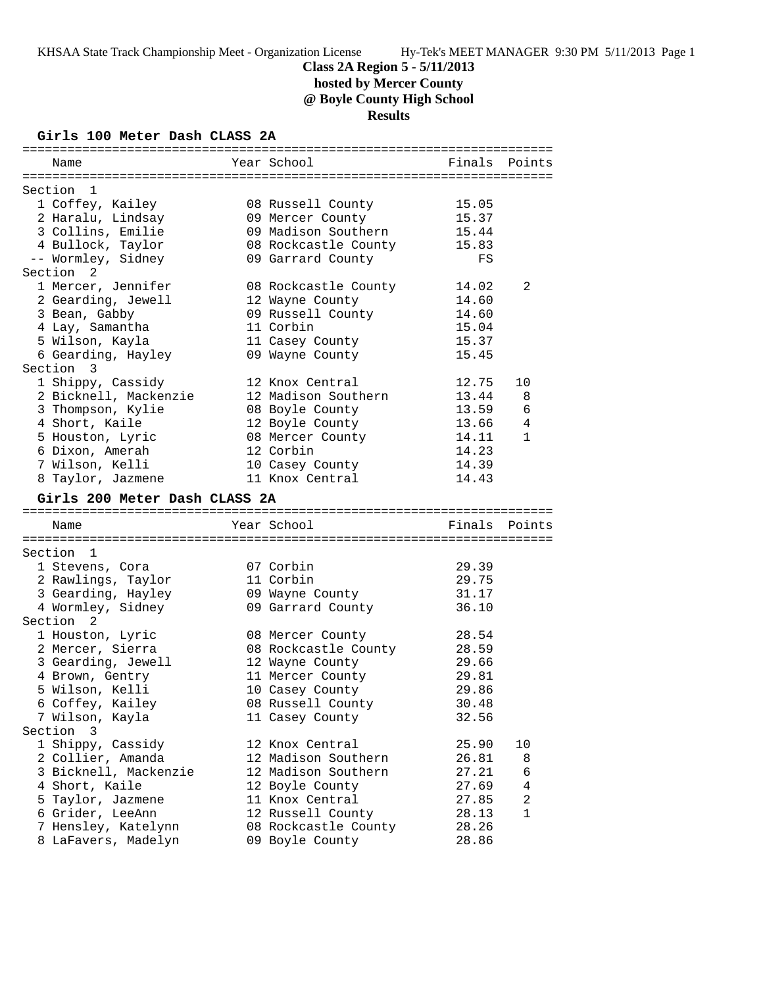# **Class 2A Region 5 - 5/11/2013 hosted by Mercer County**

**@ Boyle County High School**

**Results**

# **Girls 100 Meter Dash CLASS 2A**

| Name                                       | Year School                             | Finals Points  |                |
|--------------------------------------------|-----------------------------------------|----------------|----------------|
|                                            |                                         |                |                |
| Section<br>$\mathbf{1}$                    |                                         |                |                |
| 1 Coffey, Kailey                           | 08 Russell County                       | 15.05          |                |
| 2 Haralu, Lindsay                          | 09 Mercer County                        | 15.37          |                |
| 3 Collins, Emilie                          | 09 Madison Southern                     | 15.44          |                |
| 4 Bullock, Taylor                          | 08 Rockcastle County                    | 15.83          |                |
| -- Wormley, Sidney                         | 09 Garrard County                       | FS             |                |
| Section <sub>2</sub>                       |                                         |                |                |
| 1 Mercer, Jennifer                         | 08 Rockcastle County                    | 14.02          | 2              |
| 2 Gearding, Jewell                         | 12 Wayne County                         | 14.60          |                |
| 3 Bean, Gabby                              | 09 Russell County                       | 14.60          |                |
| 4 Lay, Samantha                            | 11 Corbin                               | 15.04          |                |
| 5 Wilson, Kayla                            | 11 Casey County                         | 15.37          |                |
| 6 Gearding, Hayley                         | 09 Wayne County                         | 15.45          |                |
| Section 3                                  |                                         |                |                |
| 1 Shippy, Cassidy                          | 12 Knox Central                         | 12.75          | 10             |
| 2 Bicknell, Mackenzie                      | 12 Madison Southern                     | 13.44          | 8              |
| 3 Thompson, Kylie                          | 08 Boyle County                         | 13.59          | 6              |
| 4 Short, Kaile                             | 12 Boyle County                         | 13.66          | 4              |
| 5 Houston, Lyric                           | 08 Mercer County                        | 14.11          | $\mathbf{1}$   |
| 6 Dixon, Amerah                            | 12 Corbin                               | 14.23          |                |
| 7 Wilson, Kelli                            | 10 Casey County                         | 14.39          |                |
| 8 Taylor, Jazmene                          | 11 Knox Central                         | 14.43          |                |
|                                            |                                         |                |                |
|                                            |                                         |                |                |
| Girls 200 Meter Dash CLASS 2A              |                                         |                |                |
|                                            |                                         |                |                |
| Name                                       | Year School                             | Finals Points  |                |
|                                            |                                         |                |                |
| Section 1                                  |                                         |                |                |
| 1 Stevens, Cora                            | 07 Corbin                               | 29.39          |                |
| 2 Rawlings, Taylor                         | 11 Corbin                               | 29.75          |                |
| 3 Gearding, Hayley                         | 09 Wayne County                         | 31.17          |                |
| 4 Wormley, Sidney                          | 09 Garrard County                       | 36.10          |                |
| Section <sub>2</sub>                       |                                         |                |                |
| 1 Houston, Lyric                           | 08 Mercer County                        | 28.54          |                |
| 2 Mercer, Sierra                           | 08 Rockcastle County                    | 28.59          |                |
| 3 Gearding, Jewell                         | 12 Wayne County                         | 29.66          |                |
| 4 Brown, Gentry                            | 11 Mercer County                        | 29.81          |                |
| 5 Wilson, Kelli                            | 10 Casey County                         | 29.86          |                |
| 6 Coffey, Kailey                           | 08 Russell County                       | 30.48          |                |
| 7 Wilson, Kayla                            | 11 Casey County                         | 32.56          |                |
| Section 3                                  |                                         |                |                |
| 1 Shippy, Cassidy                          | 12 Knox Central                         | 25.90          | 10             |
| 2 Collier, Amanda                          | 12 Madison Southern                     | 26.81          | 8              |
| 3 Bicknell, Mackenzie                      | 12 Madison Southern                     | 27.21          | 6              |
| 4 Short, Kaile                             | 12 Boyle County                         | 27.69          | $\overline{4}$ |
| 5 Taylor, Jazmene                          | 11 Knox Central                         | 27.85          | 2              |
| 6 Grider, LeeAnn                           | 12 Russell County                       | 28.13          | 1              |
| 7 Hensley, Katelynn<br>8 LaFavers, Madelyn | 08 Rockcastle County<br>09 Boyle County | 28.26<br>28.86 |                |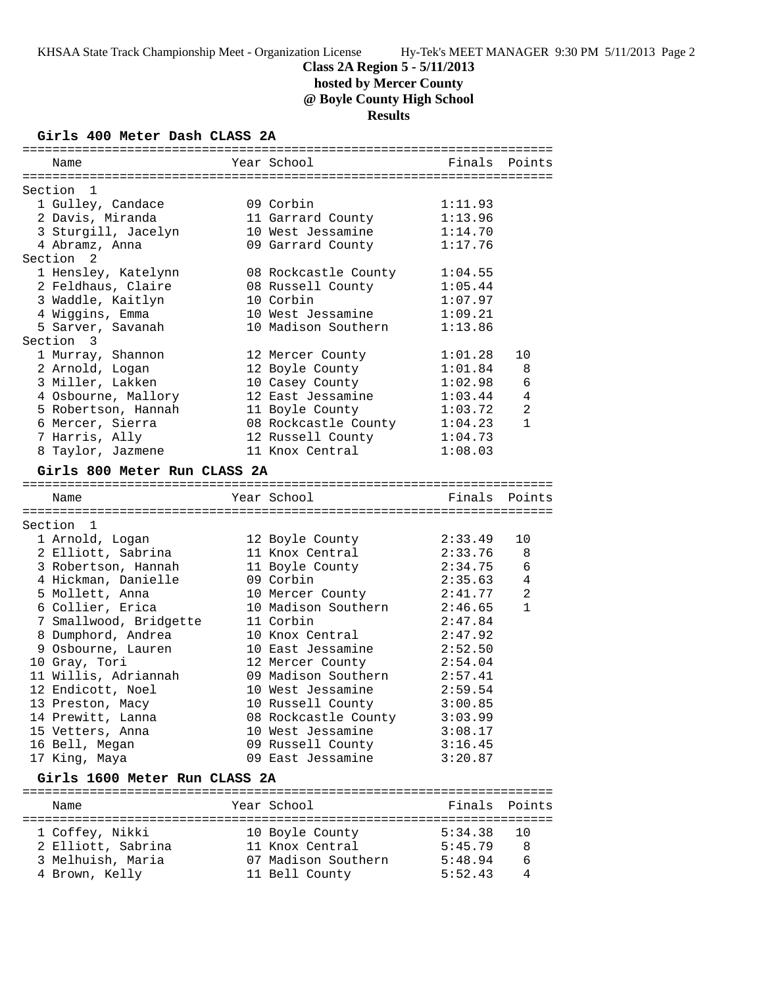**hosted by Mercer County**

**@ Boyle County High School**

**Results**

# **Girls 400 Meter Dash CLASS 2A**

| Name                                | Year School                           | Finals             | Points       |
|-------------------------------------|---------------------------------------|--------------------|--------------|
|                                     |                                       |                    |              |
| Section 1                           |                                       |                    |              |
| 1 Gulley, Candace                   | 09 Corbin                             | 1:11.93            |              |
| 2 Davis, Miranda                    | 11 Garrard County                     | 1:13.96            |              |
| 3 Sturgill, Jacelyn                 | 10 West Jessamine                     | 1:14.70            |              |
| 4 Abramz, Anna                      | 09 Garrard County                     | 1:17.76            |              |
| Section<br>2                        |                                       |                    |              |
| 1 Hensley, Katelynn                 | 08 Rockcastle County                  | 1:04.55            |              |
| 2 Feldhaus, Claire                  | 08 Russell County                     | 1:05.44            |              |
| 3 Waddle, Kaitlyn                   | 10 Corbin                             | 1:07.97            |              |
| 4 Wiggins, Emma                     | 10 West Jessamine                     | 1:09.21            |              |
| 5 Sarver, Savanah                   | 10 Madison Southern                   | 1:13.86            |              |
| Section 3                           |                                       |                    |              |
| 1 Murray, Shannon                   | 12 Mercer County                      | 1:01.28            | 10           |
| 2 Arnold, Logan                     | 12 Boyle County                       | 1:01.84            | 8            |
| 3 Miller, Lakken                    | 10 Casey County                       | 1:02.98            | 6            |
| 4 Osbourne, Mallory                 | 12 East Jessamine                     | 1:03.44            | 4            |
| 5 Robertson, Hannah                 | 11 Boyle County                       | 1:03.72            | 2            |
| 6 Mercer, Sierra                    | 08 Rockcastle County                  | 1:04.23            | $\mathbf{1}$ |
| 7 Harris, Ally                      | 12 Russell County                     | 1:04.73            |              |
| 8 Taylor, Jazmene                   | 11 Knox Central                       | 1:08.03            |              |
|                                     |                                       |                    |              |
| Girls 800 Meter Run CLASS 2A        |                                       |                    |              |
| Name                                | Year School                           | Finals             | Points       |
|                                     |                                       |                    |              |
| Section 1                           |                                       |                    |              |
| 1 Arnold, Logan                     | 12 Boyle County                       | 2:33.49            | 10           |
| 2 Elliott, Sabrina                  | 11 Knox Central                       | 2:33.76            | 8            |
| 3 Robertson, Hannah                 | 11 Boyle County                       | 2:34.75            | 6            |
| 4 Hickman, Danielle                 | 09 Corbin                             | 2:35.63            | 4            |
| 5 Mollett, Anna                     | 10 Mercer County                      | 2:41.77            | 2            |
| 6 Collier, Erica                    | 10 Madison Southern                   | 2:46.65            | $\mathbf{1}$ |
| 7 Smallwood, Bridgette              | 11 Corbin                             | 2:47.84            |              |
| 8 Dumphord, Andrea                  | 10 Knox Central                       | 2:47.92            |              |
| 9 Osbourne, Lauren                  | 10 East Jessamine                     | 2:52.50            |              |
| 10 Gray, Tori                       | 12 Mercer County                      | 2:54.04            |              |
| 11 Willis, Adriannah                | 09 Madison Southern                   | 2:57.41            |              |
| 12 Endicott, Noel                   | 10 West Jessamine                     | 2:59.54            |              |
| 13 Preston, Macy                    |                                       |                    |              |
|                                     |                                       |                    |              |
|                                     | 10 Russell County                     | 3:00.85            |              |
| 14 Prewitt, Lanna                   | 08 Rockcastle County                  | 3:03.99            |              |
| 15 Vetters, Anna                    | 10 West Jessamine                     | 3:08.17            |              |
| 16 Bell, Megan                      | 09 Russell County                     | 3:16.45            |              |
| 17 King, Maya                       | 09 East Jessamine                     | 3:20.87            |              |
| Girls 1600 Meter Run CLASS 2A       |                                       |                    |              |
| Name                                | Year School                           | Finals             | Points       |
|                                     |                                       |                    |              |
| 1 Coffey, Nikki                     | 10 Boyle County                       | 5:34.38            | 10           |
| 2 Elliott, Sabrina                  | 11 Knox Central                       | 5:45.79            | 8            |
| 3 Melhuish, Maria<br>4 Brown, Kelly | 07 Madison Southern<br>11 Bell County | 5:48.94<br>5:52.43 | 6<br>4       |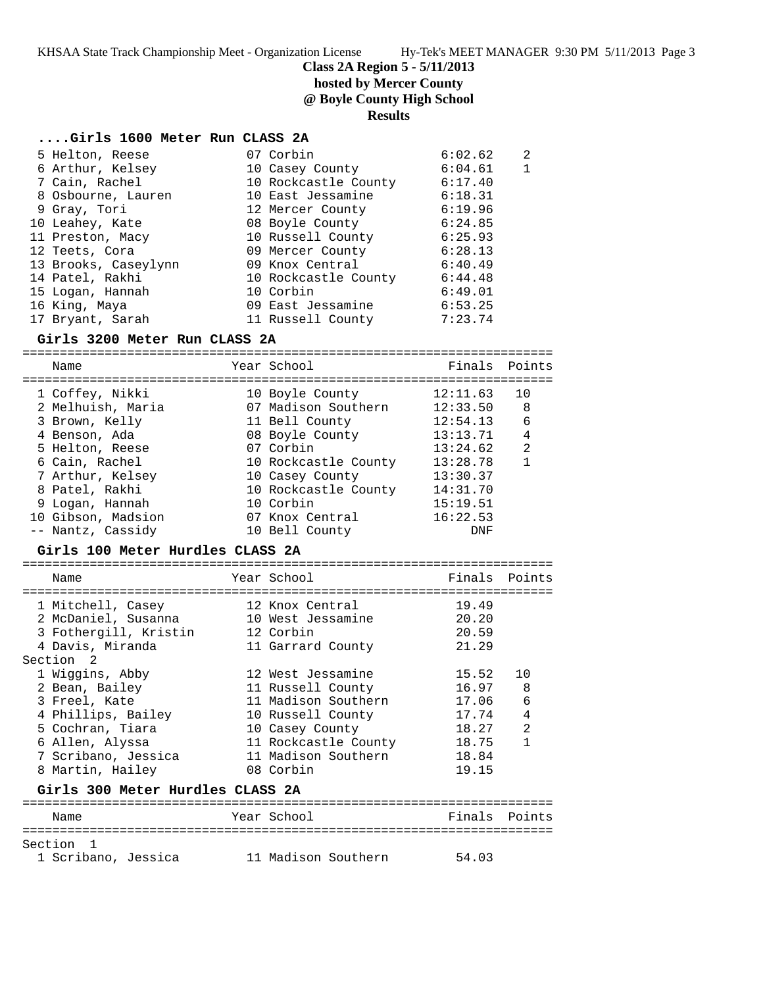KHSAA State Track Championship Meet - Organization License Hy-Tek's MEET MANAGER 9:30 PM 5/11/2013 Page 3

**Class 2A Region 5 - 5/11/2013**

# **hosted by Mercer County**

**@ Boyle County High School**

## **Results**

### **....Girls 1600 Meter Run CLASS 2A**

| 5 Helton, Reese      | 07 Corbin            | 6:02.62 | 2 |
|----------------------|----------------------|---------|---|
| 6 Arthur, Kelsey     | 10 Casey County      | 6:04.61 |   |
| 7 Cain, Rachel       | 10 Rockcastle County | 6:17.40 |   |
| 8 Osbourne, Lauren   | 10 East Jessamine    | 6:18.31 |   |
| 9 Gray, Tori         | 12 Mercer County     | 6:19.96 |   |
| 10 Leahey, Kate      | 08 Boyle County      | 6:24.85 |   |
| 11 Preston, Macy     | 10 Russell County    | 6:25.93 |   |
| 12 Teets, Cora       | 09 Mercer County     | 6:28.13 |   |
| 13 Brooks, Caseylynn | 09 Knox Central      | 6:40.49 |   |
| 14 Patel, Rakhi      | 10 Rockcastle County | 6:44.48 |   |
| 15 Logan, Hannah     | 10 Corbin            | 6:49.01 |   |
| 16 King, Maya        | 09 East Jessamine    | 6:53.25 |   |
| 17 Bryant, Sarah     | 11 Russell County    | 7:23.74 |   |

## **Girls 3200 Meter Run CLASS 2A**

| Year School<br>Finals Points<br>Name<br>12:11.63<br>1 Coffey, Nikki<br>10 Boyle County<br>07 Madison Southern<br>2 Melhuish, Maria<br>12:33.50<br>3 Brown, Kelly<br>11 Bell County<br>12:54.13<br>13:13.71<br>4 Benson, Ada<br>08 Boyle County<br>07 Corbin<br>13:24.62<br>5 Helton, Reese<br>10 Rockcastle County 13:28.78<br>6 Cain, Rachel<br>10 Casey County<br>7 Arthur, Kelsey<br>13:30.37<br>10 Rockcastle County 14:31.70<br>8 Patel, Rakhi<br>15:19.51<br>9 Logan, Hannah<br>10 Corbin<br>10 Gibson, Madsion<br>07 Knox Central 16:22.53<br>-- Nantz, Cassidy<br>10 Bell County<br><b>DNF</b><br>Girls 100 Meter Hurdles CLASS 2A<br>Year School<br>Finals<br>Name<br>19.49<br>1 Mitchell, Casey<br>12 Knox Central<br>20.20<br>2 McDaniel, Susanna<br>10 West Jessamine<br>3 Fothergill, Kristin<br>20.59<br>12 Corbin<br>4 Davis, Miranda<br>21.29<br>11 Garrard County<br>Section <sub>2</sub><br>1 Wiggins, Abby<br>12 West Jessamine<br>15.52<br>16.97<br>2 Bean, Bailey<br>11 Russell County<br>3 Freel, Kate<br>11 Madison Southern<br>17.06 |                                  |
|--------------------------------------------------------------------------------------------------------------------------------------------------------------------------------------------------------------------------------------------------------------------------------------------------------------------------------------------------------------------------------------------------------------------------------------------------------------------------------------------------------------------------------------------------------------------------------------------------------------------------------------------------------------------------------------------------------------------------------------------------------------------------------------------------------------------------------------------------------------------------------------------------------------------------------------------------------------------------------------------------------------------------------------------------------------|----------------------------------|
|                                                                                                                                                                                                                                                                                                                                                                                                                                                                                                                                                                                                                                                                                                                                                                                                                                                                                                                                                                                                                                                              |                                  |
|                                                                                                                                                                                                                                                                                                                                                                                                                                                                                                                                                                                                                                                                                                                                                                                                                                                                                                                                                                                                                                                              | 10                               |
|                                                                                                                                                                                                                                                                                                                                                                                                                                                                                                                                                                                                                                                                                                                                                                                                                                                                                                                                                                                                                                                              | 8                                |
|                                                                                                                                                                                                                                                                                                                                                                                                                                                                                                                                                                                                                                                                                                                                                                                                                                                                                                                                                                                                                                                              |                                  |
|                                                                                                                                                                                                                                                                                                                                                                                                                                                                                                                                                                                                                                                                                                                                                                                                                                                                                                                                                                                                                                                              | 6                                |
|                                                                                                                                                                                                                                                                                                                                                                                                                                                                                                                                                                                                                                                                                                                                                                                                                                                                                                                                                                                                                                                              | $\overline{4}$<br>$\overline{2}$ |
|                                                                                                                                                                                                                                                                                                                                                                                                                                                                                                                                                                                                                                                                                                                                                                                                                                                                                                                                                                                                                                                              | $\mathbf{1}$                     |
|                                                                                                                                                                                                                                                                                                                                                                                                                                                                                                                                                                                                                                                                                                                                                                                                                                                                                                                                                                                                                                                              |                                  |
|                                                                                                                                                                                                                                                                                                                                                                                                                                                                                                                                                                                                                                                                                                                                                                                                                                                                                                                                                                                                                                                              |                                  |
|                                                                                                                                                                                                                                                                                                                                                                                                                                                                                                                                                                                                                                                                                                                                                                                                                                                                                                                                                                                                                                                              |                                  |
|                                                                                                                                                                                                                                                                                                                                                                                                                                                                                                                                                                                                                                                                                                                                                                                                                                                                                                                                                                                                                                                              |                                  |
|                                                                                                                                                                                                                                                                                                                                                                                                                                                                                                                                                                                                                                                                                                                                                                                                                                                                                                                                                                                                                                                              |                                  |
|                                                                                                                                                                                                                                                                                                                                                                                                                                                                                                                                                                                                                                                                                                                                                                                                                                                                                                                                                                                                                                                              |                                  |
|                                                                                                                                                                                                                                                                                                                                                                                                                                                                                                                                                                                                                                                                                                                                                                                                                                                                                                                                                                                                                                                              |                                  |
|                                                                                                                                                                                                                                                                                                                                                                                                                                                                                                                                                                                                                                                                                                                                                                                                                                                                                                                                                                                                                                                              |                                  |
|                                                                                                                                                                                                                                                                                                                                                                                                                                                                                                                                                                                                                                                                                                                                                                                                                                                                                                                                                                                                                                                              | Points                           |
|                                                                                                                                                                                                                                                                                                                                                                                                                                                                                                                                                                                                                                                                                                                                                                                                                                                                                                                                                                                                                                                              |                                  |
|                                                                                                                                                                                                                                                                                                                                                                                                                                                                                                                                                                                                                                                                                                                                                                                                                                                                                                                                                                                                                                                              |                                  |
|                                                                                                                                                                                                                                                                                                                                                                                                                                                                                                                                                                                                                                                                                                                                                                                                                                                                                                                                                                                                                                                              |                                  |
|                                                                                                                                                                                                                                                                                                                                                                                                                                                                                                                                                                                                                                                                                                                                                                                                                                                                                                                                                                                                                                                              |                                  |
|                                                                                                                                                                                                                                                                                                                                                                                                                                                                                                                                                                                                                                                                                                                                                                                                                                                                                                                                                                                                                                                              |                                  |
|                                                                                                                                                                                                                                                                                                                                                                                                                                                                                                                                                                                                                                                                                                                                                                                                                                                                                                                                                                                                                                                              |                                  |
|                                                                                                                                                                                                                                                                                                                                                                                                                                                                                                                                                                                                                                                                                                                                                                                                                                                                                                                                                                                                                                                              | 10                               |
|                                                                                                                                                                                                                                                                                                                                                                                                                                                                                                                                                                                                                                                                                                                                                                                                                                                                                                                                                                                                                                                              | 8                                |
|                                                                                                                                                                                                                                                                                                                                                                                                                                                                                                                                                                                                                                                                                                                                                                                                                                                                                                                                                                                                                                                              | 6                                |
| 4 Phillips, Bailey<br>10 Russell County<br>17.74                                                                                                                                                                                                                                                                                                                                                                                                                                                                                                                                                                                                                                                                                                                                                                                                                                                                                                                                                                                                             | 4                                |
| 5 Cochran, Tiara<br>18.27<br>10 Casey County                                                                                                                                                                                                                                                                                                                                                                                                                                                                                                                                                                                                                                                                                                                                                                                                                                                                                                                                                                                                                 | $\overline{2}$                   |
| 6 Allen, Alyssa<br>11 Rockcastle County<br>18.75                                                                                                                                                                                                                                                                                                                                                                                                                                                                                                                                                                                                                                                                                                                                                                                                                                                                                                                                                                                                             | $\mathbf{1}$                     |
| 7 Scribano, Jessica<br>11 Madison Southern<br>18.84                                                                                                                                                                                                                                                                                                                                                                                                                                                                                                                                                                                                                                                                                                                                                                                                                                                                                                                                                                                                          |                                  |
| 19.15<br>8 Martin, Hailey<br>08 Corbin                                                                                                                                                                                                                                                                                                                                                                                                                                                                                                                                                                                                                                                                                                                                                                                                                                                                                                                                                                                                                       |                                  |
| Girls 300 Meter Hurdles CLASS 2A                                                                                                                                                                                                                                                                                                                                                                                                                                                                                                                                                                                                                                                                                                                                                                                                                                                                                                                                                                                                                             |                                  |
|                                                                                                                                                                                                                                                                                                                                                                                                                                                                                                                                                                                                                                                                                                                                                                                                                                                                                                                                                                                                                                                              |                                  |

# Name Year School Finals Points

| Section 1           |                     |       |
|---------------------|---------------------|-------|
| 1 Scribano, Jessica | 11 Madison Southern | 54.03 |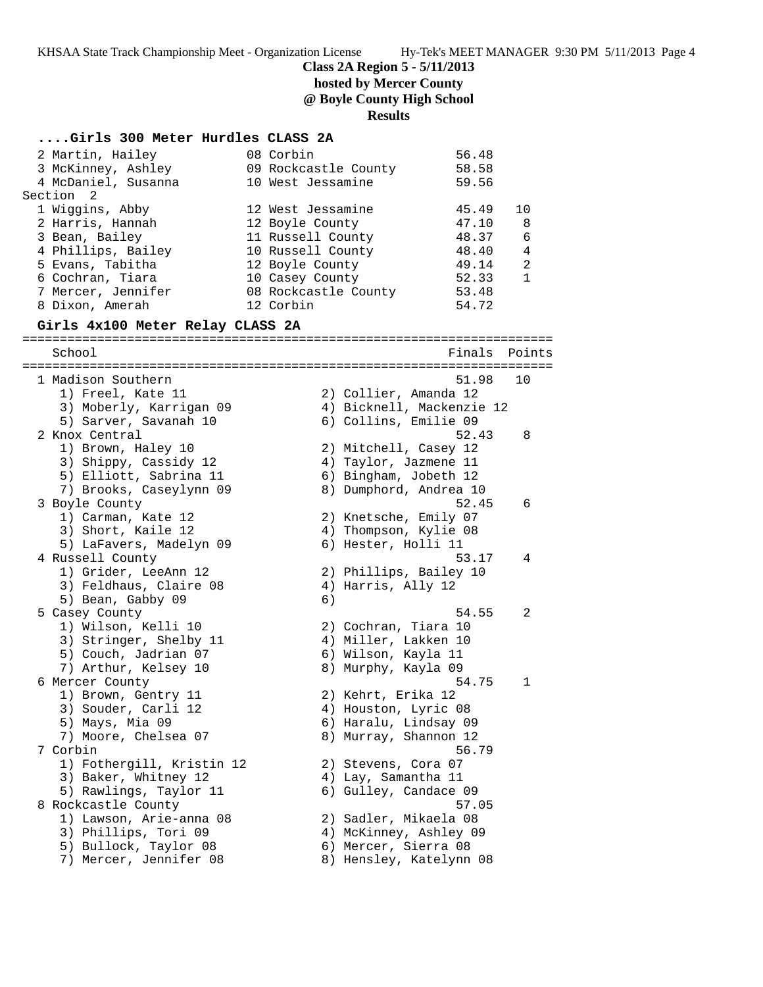KHSAA State Track Championship Meet - Organization License Hy-Tek's MEET MANAGER 9:30 PM 5/11/2013 Page 4

**Class 2A Region 5 - 5/11/2013**

**hosted by Mercer County**

**@ Boyle County High School**

#### **Results**

| Girls 300 Meter Hurdles CLASS 2A |  |                      |         |                |  |
|----------------------------------|--|----------------------|---------|----------------|--|
| 2 Martin, Hailey                 |  | 08 Corbin            | 56.48   |                |  |
| 3 McKinney, Ashley               |  | 09 Rockcastle County | 58.58   |                |  |
| 4 McDaniel, Susanna              |  | 10 West Jessamine    | 59.56   |                |  |
| Section 2                        |  |                      |         |                |  |
| 1 Wiggins, Abby                  |  | 12 West Jessamine    | 45.49   | 10             |  |
| 2 Harris, Hannah                 |  | 12 Boyle County      | 47.10 8 |                |  |
| 3 Bean, Bailey                   |  | 11 Russell County    | 48.37   | 6              |  |
| 4 Phillips, Bailey               |  | 10 Russell County    | 48.40   | 4              |  |
| 5 Evans, Tabitha                 |  | 12 Boyle County      | 49.14   | $\mathfrak{D}$ |  |
| 6 Cochran, Tiara                 |  | 10 Casey County      | 52.33   | 1              |  |
| 7 Mercer, Jennifer               |  | 08 Rockcastle County | 53.48   |                |  |
| 8 Dixon, Amerah                  |  | 12 Corbin            | 54.72   |                |  |
| Girls 4x100 Meter Relay CLASS 2A |  |                      |         |                |  |
| School                           |  |                      | Finals  | Points         |  |

======================================================================= 1 Madison Southern 51.98 10 1) Freel, Kate 11 2) Collier, Amanda 12 3) Moberly, Karrigan 09 4) Bicknell, Mackenzie 12 5) Sarver, Savanah 10 6) Collins, Emilie 09 2 Knox Central 52.43 8 1) Brown, Haley 10 2) Mitchell, Casey 12 3) Shippy, Cassidy 12 4) Taylor, Jazmene 11 5) Elliott, Sabrina 11 6) Bingham, Jobeth 12 7) Brooks, Caseylynn 09 8) Dumphord, Andrea 10 3 Boyle County 52.45 6 1) Carman, Kate 12 2) Knetsche, Emily 07 3) Short, Kaile 12 4) Thompson, Kylie 08 5) LaFavers, Madelyn 09 6) Hester, Holli 11 4 Russell County 53.17 4 1) Grider, LeeAnn 12 2) Phillips, Bailey 10 3) Feldhaus, Claire 08 (4) Harris, Ally 12 5) Bean, Gabby 09 6) 5 Casey County 54.55 2 1) Wilson, Kelli 10 2) Cochran, Tiara 10 3) Stringer, Shelby 11  $\hskip10mm$  4) Miller, Lakken 10 5) Couch, Jadrian 07 6) Wilson, Kayla 11 7) Arthur, Kelsey 10 8) Murphy, Kayla 09 6 Mercer County 54.75 1 1) Brown, Gentry 11 2) Kehrt, Erika 12 3) Souder, Carli 12 4) Houston, Lyric 08 5) Mays, Mia 09 6) Haralu, Lindsay 09 7) Moore, Chelsea 07 8) Murray, Shannon 12 7 Corbin 56.79 1) Fothergill, Kristin 12 2) Stevens, Cora 07 3) Baker, Whitney 12 (4) Lay, Samantha 11 5) Rawlings, Taylor 11 6) Gulley, Candace 09 8 Rockcastle County 57.05 1) Lawson, Arie-anna 08 2) Sadler, Mikaela 08 3) Phillips, Tori 09 4) McKinney, Ashley 09 5) Bullock, Taylor 08 (6) Mercer, Sierra 08 7) Mercer, Jennifer 08 8) Hensley, Katelynn 08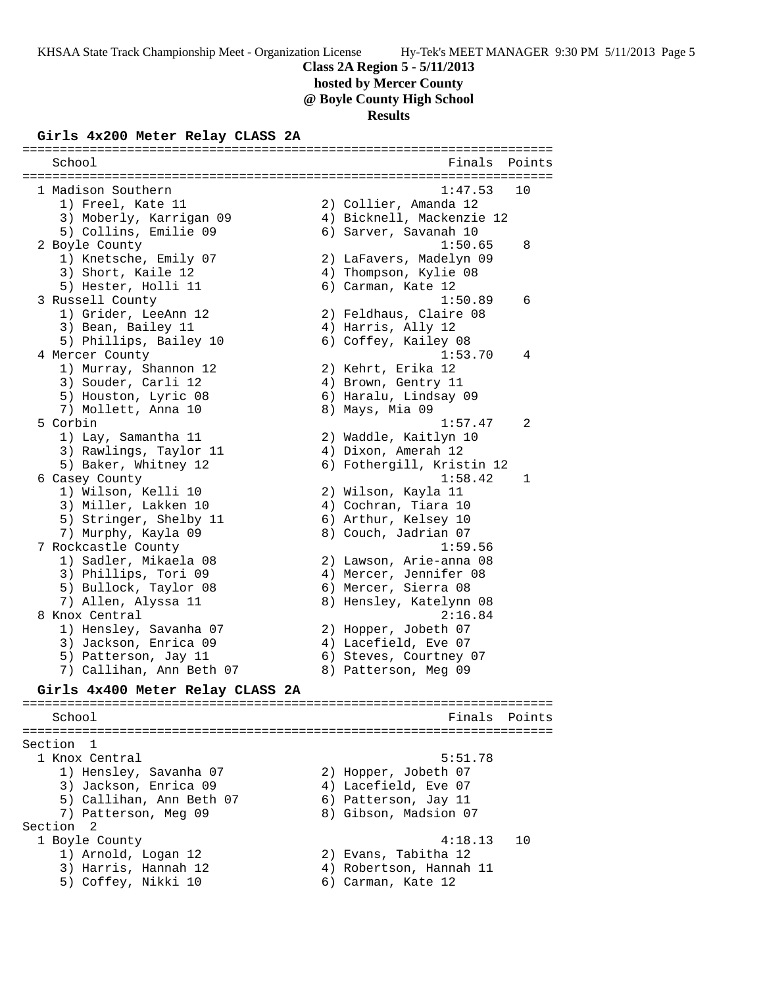**hosted by Mercer County**

**@ Boyle County High School**

#### **Results**

#### **Girls 4x200 Meter Relay CLASS 2A**

======================================================================= School **Finals** Points **Points** ======================================================================= 1 Madison Southern 1:47.53 10 1) Freel, Kate 11 2) Collier, Amanda 12 3) Moberly, Karrigan 09 4) Bicknell, Mackenzie 12 5) Collins, Emilie 09 6) Sarver, Savanah 10 2 Boyle County 1:50.65 8 1) Knetsche, Emily 07 2) LaFavers, Madelyn 09 3) Short, Kaile 12 4) Thompson, Kylie 08 5) Hester, Holli 11 6) Carman, Kate 12 3 Russell County 1:50.89 6 1) Grider, LeeAnn 12 2) Feldhaus, Claire 08 3) Bean, Bailey 11 (4) Harris, Ally 12 5) Phillips, Bailey 10 6) Coffey, Kailey 08 4 Mercer County 1:53.70 4 1) Murray, Shannon 12 2) Kehrt, Erika 12 3) Souder, Carli 12 4) Brown, Gentry 11 5) Houston, Lyric 08 6) Haralu, Lindsay 09 7) Mollett, Anna 10 ann ann 8) Mays, Mia 09 5 Corbin 1:57.47 2 1) Lay, Samantha 11 2) Waddle, Kaitlyn 10 3) Rawlings, Taylor 11  $\qquad \qquad$  4) Dixon, Amerah 12 5) Baker, Whitney 12 6) Fothergill, Kristin 12 6 Casey County 1:58.42 1 1) Wilson, Kelli 10 2) Wilson, Kayla 11 3) Miller, Lakken 10 4) Cochran, Tiara 10 5) Stringer, Shelby 11 6) Arthur, Kelsey 10 7) Murphy, Kayla 09 8) Couch, Jadrian 07 7 Rockcastle County 1:59.56 1) Sadler, Mikaela 08 2) Lawson, Arie-anna 08 3) Phillips, Tori 09  $\hskip1cm$  4) Mercer, Jennifer 08 5) Bullock, Taylor 08 6) Mercer, Sierra 08 7) Allen, Alyssa 11 8) Hensley, Katelynn 08 8 Knox Central 2:16.84 1) Hensley, Savanha 07 2) Hopper, Jobeth 07 3) Jackson, Enrica 09 (4) Lacefield, Eve 07 5) Patterson, Jay 11 6) Steves, Courtney 07 7) Callihan, Ann Beth 07 8) Patterson, Meg 09 **Girls 4x400 Meter Relay CLASS 2A** ======================================================================= School **Finals Points** ======================================================================= Section 1 1 Knox Central 5:51.78

 1) Hensley, Savanha 07 2) Hopper, Jobeth 07 3) Jackson, Enrica 09 (4) Lacefield, Eve 07 5) Callihan, Ann Beth 07 (6) Patterson, Jay 11 7) Patterson, Meg 09 8) Gibson, Madsion 07 Section 2 1 Boyle County 4:18.13 10 1) Arnold, Logan 12 2) Evans, Tabitha 12 3) Harris, Hannah 12 4) Robertson, Hannah 11 5) Coffey, Nikki 10 (6) Carman, Kate 12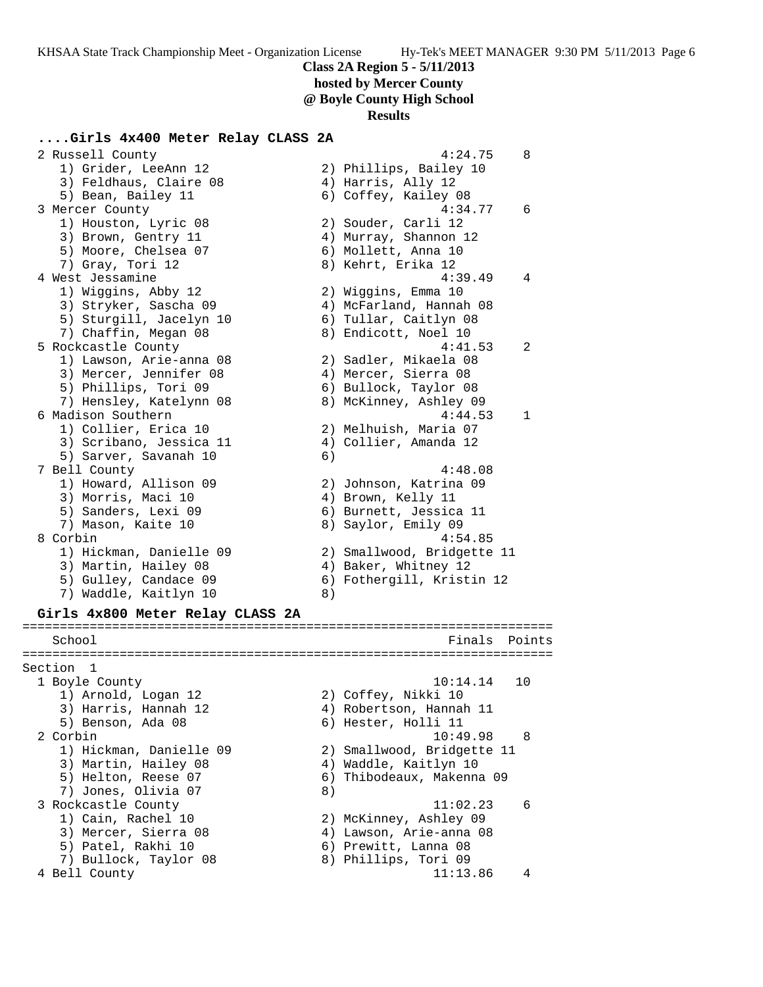# **hosted by Mercer County**

**@ Boyle County High School**

#### **Results**

#### **....Girls 4x400 Meter Relay CLASS 2A**

 2 Russell County 4:24.75 8 1) Grider, LeeAnn 12 2) Phillips, Bailey 10 3) Feldhaus, Claire 08 (4) Harris, Ally 12 5) Bean, Bailey 11 6) Coffey, Kailey 08 3 Mercer County 4:34.77 6 1) Houston, Lyric 08 2) Souder, Carli 12 3) Brown, Gentry 11 4) Murray, Shannon 12 5) Moore, Chelsea 07 (6) Mollett, Anna 10 7) Gray, Tori 12 8) Kehrt, Erika 12 4 West Jessamine 4:39.49 4 1) Wiggins, Abby 12 2) Wiggins, Emma 10 3) Stryker, Sascha 09 4) McFarland, Hannah 08 5) Sturgill, Jacelyn 10 6) Tullar, Caitlyn 08 7) Chaffin, Megan 08 8 8) Endicott, Noel 10 5 Rockcastle County 4:41.53 2 1) Lawson, Arie-anna 08 2) Sadler, Mikaela 08 3) Mercer, Jennifer 08 (4) Mercer, Sierra 08 5) Phillips, Tori 09 6) Bullock, Taylor 08 7) Hensley, Katelynn 08 8) McKinney, Ashley 09 6 Madison Southern 4:44.53 1 1) Collier, Erica 10 2) Melhuish, Maria 07 3) Scribano, Jessica 11 4) Collier, Amanda 12 5) Sarver, Savanah 10 (6) 7 Bell County 4:48.08 1) Howard, Allison 09 2) Johnson, Katrina 09 3) Morris, Maci 10 (4) Brown, Kelly 11 5) Sanders, Lexi 09 6) Burnett, Jessica 11 7) Mason, Kaite 10 8) Saylor, Emily 09 8 Corbin 4:54.85 1) Hickman, Danielle 09 2) Smallwood, Bridgette 11 3) Martin, Hailey 08  $\hskip1cm \hskip1cm 4$ ) Baker, Whitney 12 5) Gulley, Candace 09 6) Fothergill, Kristin 12 7) Waddle, Kaitlyn 10 8) **Girls 4x800 Meter Relay CLASS 2A** ======================================================================= School **Finals** Points ======================================================================= Section 1 1 Boyle County 10:14.14 10 1) Arnold, Logan 12 2) Coffey, Nikki 10 3) Harris, Hannah 12 4) Robertson, Hannah 11 5) Benson, Ada 08 6) Hester, Holli 11 2 Corbin 10:49.98 8 1) Hickman, Danielle 09 2) Smallwood, Bridgette 11 3) Martin, Hailey 08 4) Waddle, Kaitlyn 10 5) Helton, Reese 07 6) Thibodeaux, Makenna 09 7) Jones, Olivia 07 (8) 3 Rockcastle County 11:02.23 6 1) Cain, Rachel 10 2) McKinney, Ashley 09 3) Mercer, Sierra 08 4) Lawson, Arie-anna 08 5) Patel, Rakhi 10 (6) Prewitt, Lanna 08 7) Bullock, Taylor 08 8) Phillips, Tori 09 4 Bell County 11:13.86 4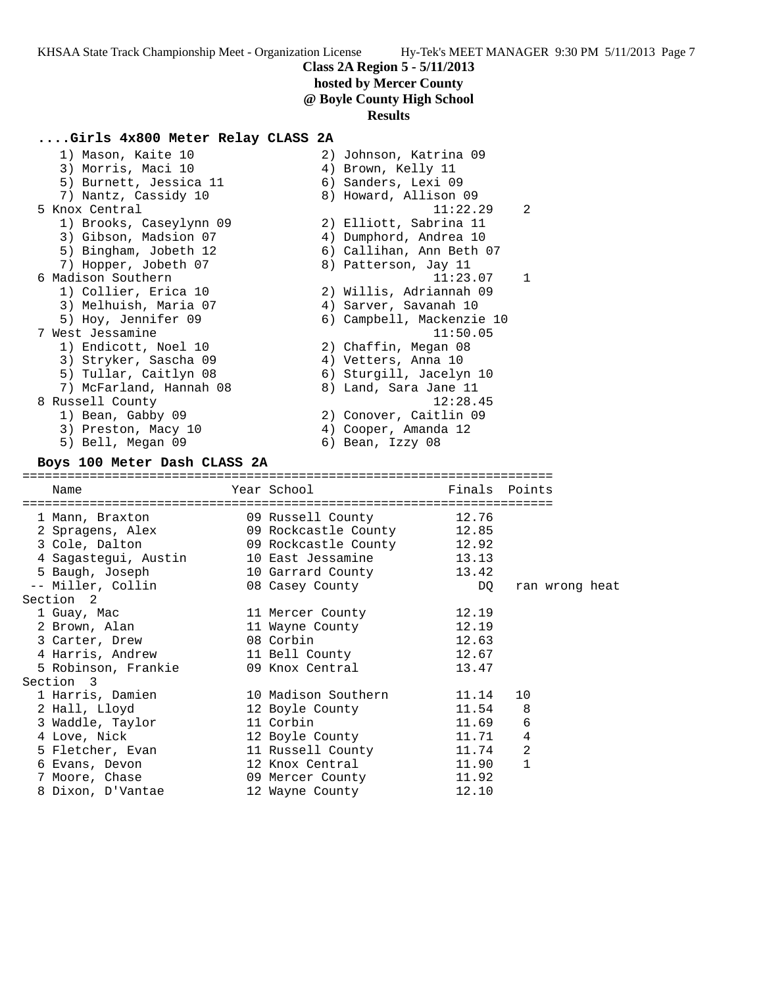## **hosted by Mercer County**

**@ Boyle County High School**

#### **Results**

#### **....Girls 4x800 Meter Relay CLASS 2A**

| 1) Mason, Kaite 10           | 2) Johnson, Katrina 09     |
|------------------------------|----------------------------|
| 3) Morris, Maci 10           | 4) Brown, Kelly 11         |
| 5) Burnett, Jessica 11       | 6) Sanders, Lexi 09        |
| 7) Nantz, Cassidy 10         | 8) Howard, Allison 09      |
| 5 Knox Central               | 11:22.29<br>$\mathcal{L}$  |
| 1) Brooks, Caseylynn 09      | 2) Elliott, Sabrina 11     |
| 3) Gibson, Madsion 07        | 4) Dumphord, Andrea 10     |
| 5) Bingham, Jobeth 12        | 6) Callihan, Ann Beth 07   |
| 7) Hopper, Jobeth 07         | 8) Patterson, Jay 11       |
| 6 Madison Southern           | $\overline{1}$<br>11:23.07 |
| 1) Collier, Erica 10         | 2) Willis, Adriannah 09    |
| 3) Melhuish, Maria 07        | 4) Sarver, Savanah 10      |
| 5) Hoy, Jennifer 09          | 6) Campbell, Mackenzie 10  |
| 7 West Jessamine             | 11:50.05                   |
| 1) Endicott, Noel 10         | 2) Chaffin, Megan 08       |
| 3) Stryker, Sascha 09        | 4) Vetters, Anna 10        |
| 5) Tullar, Caitlyn 08        | 6) Sturgill, Jacelyn 10    |
| 7) McFarland, Hannah 08      | 8) Land, Sara Jane 11      |
| 8 Russell County             | 12:28.45                   |
| 1) Bean, Gabby 09            | 2) Conover, Caitlin 09     |
| 3) Preston, Macy 10          | 4) Cooper, Amanda 12       |
| 5) Bell, Megan 09            | 6) Bean, Izzy 08           |
| Rove 100 Meter Dach CLASS 2A |                            |

#### **Boys 100 Meter Dash CLASS 2A**

======================================================================= Name Tear School Tear School Finals Points ======================================================================= 1 Mann, Braxton 09 Russell County 12.76 2 Spragens, Alex 09 Rockcastle County 12.85 3 Cole, Dalton 09 Rockcastle County 12.92 4 Sagastegui, Austin 10 East Jessamine 13.13 5 Baugh, Joseph 10 Garrard County 13.42 -- Miller, Collin 08 Casey County DQ ran wrong heat Section 2 1 Guay, Mac 11 Mercer County 12.19 2 Brown, Alan 11 Wayne County 12.19 3 Carter, Drew 08 Corbin 12.63 4 Harris, Andrew 11 Bell County 12.67 5 Robinson, Frankie 09 Knox Central 13.47 Section 3 1 Harris, Damien 10 Madison Southern 11.14 10 2 Hall, Lloyd 12 Boyle County 11.54 8 3 Waddle, Taylor 11 Corbin 11.69 6 4 Love, Nick 12 Boyle County 11.71 4 5 Fletcher, Evan 11 Russell County 11.74 2 6 Evans, Devon 12 Knox Central 11.90 1 7 Moore, Chase 09 Mercer County 11.92 8 Dixon, D'Vantae 12 Wayne County 12.10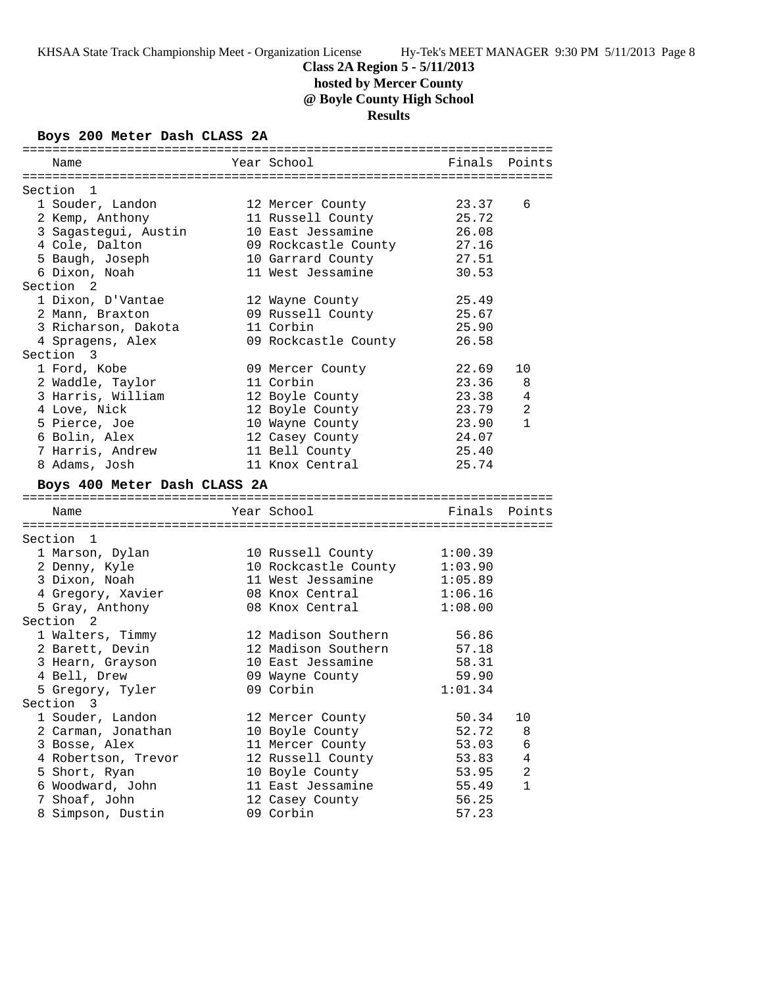**hosted by Mercer County**

**@ Boyle County High School**

**Results**

# **Boys 200 Meter Dash CLASS 2A**

| Name                                   | Year School                            | Finals         | Points       |
|----------------------------------------|----------------------------------------|----------------|--------------|
| Section 1                              |                                        |                |              |
| 1 Souder, Landon                       | 12 Mercer County                       | 23.37          | 6            |
| 2 Kemp, Anthony                        | 11 Russell County                      | 25.72          |              |
| 3 Sagastegui, Austin                   | 10 East Jessamine                      | 26.08          |              |
| 4 Cole, Dalton                         | 09 Rockcastle County                   | 27.16          |              |
|                                        |                                        | 27.51          |              |
| 5 Baugh, Joseph<br>6 Dixon, Noah       | 10 Garrard County<br>11 West Jessamine | 30.53          |              |
| Section <sub>2</sub>                   |                                        |                |              |
| 1 Dixon, D'Vantae                      |                                        |                |              |
|                                        | 12 Wayne County<br>09 Russell County   | 25.49<br>25.67 |              |
| 2 Mann, Braxton<br>3 Richarson, Dakota | 11 Corbin                              | 25.90          |              |
|                                        |                                        | 26.58          |              |
| 4 Spragens, Alex<br>Section 3          | 09 Rockcastle County                   |                |              |
|                                        |                                        |                |              |
| 1 Ford, Kobe                           | 09 Mercer County                       | 22.69          | 10           |
| 2 Waddle, Taylor                       | 11 Corbin                              | 23.36          | 8            |
| 3 Harris, William                      | 12 Boyle County                        | 23.38          | 4            |
| 4 Love, Nick                           | 12 Boyle County                        | 23.79          | 2            |
| 5 Pierce, Joe                          | 10 Wayne County                        | 23.90          | $\mathbf{1}$ |
| 6 Bolin, Alex                          | 12 Casey County                        | 24.07          |              |
| 7 Harris, Andrew                       | 11 Bell County                         | 25.40          |              |
| 8 Adams, Josh                          | 11 Knox Central                        | 25.74          |              |
| Boys 400 Meter Dash CLASS 2A           |                                        |                |              |
| Name                                   | Year School                            | Finals Points  |              |
|                                        |                                        |                |              |
| Section 1                              |                                        |                |              |
| 1 Marson, Dylan                        | 10 Russell County                      | 1:00.39        |              |
| 2 Denny, Kyle                          | 10 Rockcastle County 1:03.90           |                |              |
| 3 Dixon, Noah                          | 11 West Jessamine                      | 1:05.89        |              |
| 4 Gregory, Xavier                      | 08 Knox Central                        | 1:06.16        |              |
| 5 Gray, Anthony                        | 08 Knox Central                        | 1:08.00        |              |
| Section 2                              |                                        |                |              |
| 1 Walters, Timmy                       | 12 Madison Southern                    | 56.86          |              |
| 2 Barett, Devin                        | 12 Madison Southern                    | 57.18          |              |
| 3 Hearn, Grayson                       | 10 East Jessamine                      | 58.31          |              |
| 4 Bell, Drew                           | 09 Wayne County                        | 59.90          |              |
| 5 Gregory, Tyler                       | 09 Corbin                              | 1:01.34        |              |
| Section 3                              |                                        |                |              |
| 1 Souder, Landon                       | 12 Mercer County                       | 50.34          | 10           |
| 2 Carman, Jonathan                     | 10 Boyle County                        | 52.72          | 8            |
| 3 Bosse, Alex                          | 11 Mercer County                       | 53.03          | 6            |
| 4 Robertson, Trevor                    | 12 Russell County                      | 53.83          | 4            |
| 5 Short, Ryan                          | 10 Boyle County                        | 53.95          | 2            |
| 6 Woodward, John                       | 11 East Jessamine                      | 55.49          | 1            |
| 7 Shoaf, John                          | 12 Casey County                        | 56.25          |              |
| 8 Simpson, Dustin                      | 09 Corbin                              | 57.23          |              |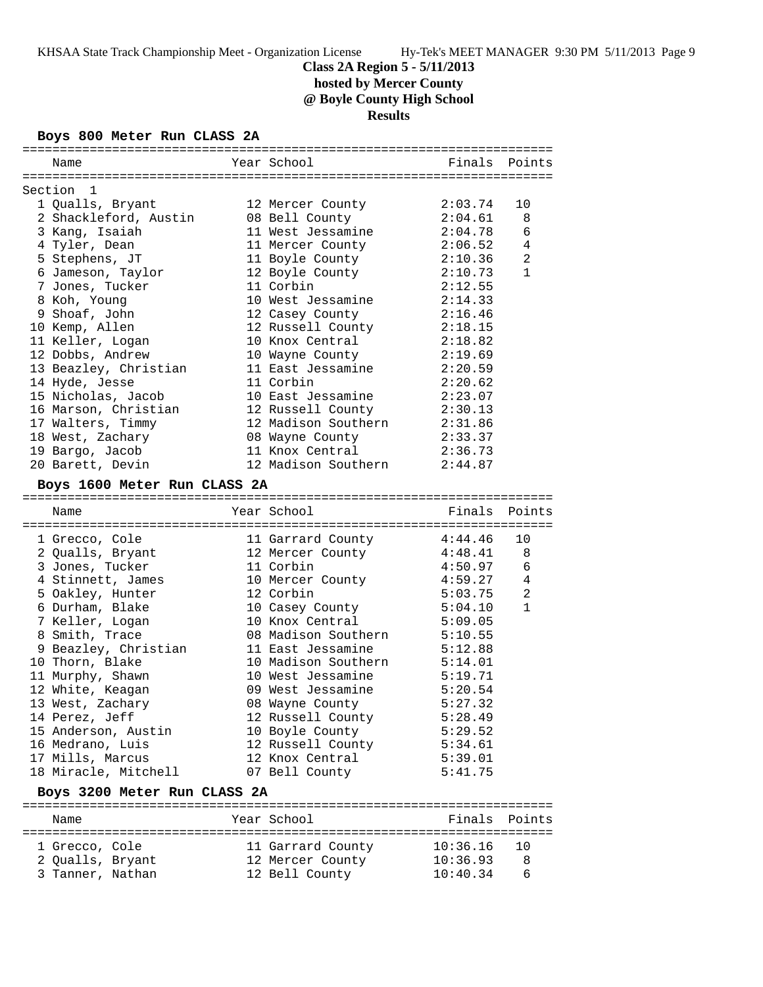**hosted by Mercer County**

**@ Boyle County High School**

**Results**

#### **Boys 800 Meter Run CLASS 2A**

| Name                         | Year School         |         | Finals Points  |
|------------------------------|---------------------|---------|----------------|
|                              |                     |         |                |
| Section 1                    |                     |         |                |
| 1 Qualls, Bryant             | 12 Mercer County    | 2:03.74 | 10             |
| 2 Shackleford, Austin        | 08 Bell County      | 2:04.61 | 8              |
| 3 Kang, Isaiah               | 11 West Jessamine   | 2:04.78 | 6              |
| 4 Tyler, Dean                | 11 Mercer County    | 2:06.52 | 4              |
| 5 Stephens, JT               | 11 Boyle County     | 2:10.36 | 2              |
| 6 Jameson, Taylor            | 12 Boyle County     | 2:10.73 | $\mathbf{1}$   |
| 7 Jones, Tucker              | 11 Corbin           | 2:12.55 |                |
| 8 Koh, Young                 | 10 West Jessamine   | 2:14.33 |                |
| 9 Shoaf, John                | 12 Casey County     | 2:16.46 |                |
| 10 Kemp, Allen               | 12 Russell County   | 2:18.15 |                |
| 11 Keller, Logan             | 10 Knox Central     | 2:18.82 |                |
| 12 Dobbs, Andrew             | 10 Wayne County     | 2:19.69 |                |
| 13 Beazley, Christian        | 11 East Jessamine   | 2:20.59 |                |
| 14 Hyde, Jesse               | 11 Corbin           | 2:20.62 |                |
| 15 Nicholas, Jacob           | 10 East Jessamine   | 2:23.07 |                |
| 16 Marson, Christian         | 12 Russell County   | 2:30.13 |                |
| 17 Walters, Timmy            | 12 Madison Southern | 2:31.86 |                |
| 18 West, Zachary             | 08 Wayne County     | 2:33.37 |                |
| 19 Bargo, Jacob              | 11 Knox Central     | 2:36.73 |                |
| 20 Barett, Devin             | 12 Madison Southern | 2:44.87 |                |
| Boys 1600 Meter Run CLASS 2A |                     |         |                |
|                              |                     |         |                |
|                              |                     |         |                |
| Name                         | Year School         |         | Finals Points  |
|                              |                     |         |                |
| 1 Grecco, Cole               | 11 Garrard County   | 4:44.46 | 10             |
| 2 Qualls, Bryant             | 12 Mercer County    | 4:48.41 | 8              |
| 3 Jones, Tucker              | 11 Corbin           | 4:50.97 | 6              |
| 4 Stinnett, James            | 10 Mercer County    | 4:59.27 | $\overline{4}$ |
| 5 Oakley, Hunter             | 12 Corbin           | 5:03.75 | 2              |
| 6 Durham, Blake              | 10 Casey County     | 5:04.10 | $\mathbf{1}$   |
| 7 Keller, Logan              | 10 Knox Central     | 5:09.05 |                |
| 8 Smith, Trace               | 08 Madison Southern | 5:10.55 |                |
| 9 Beazley, Christian         | 11 East Jessamine   | 5:12.88 |                |
| 10 Thorn, Blake              | 10 Madison Southern | 5:14.01 |                |
| 11 Murphy, Shawn             | 10 West Jessamine   | 5:19.71 |                |
| 12 White, Keagan             | 09 West Jessamine   | 5:20.54 |                |
| 13 West, Zachary             | 08 Wayne County     | 5:27.32 |                |
| 14 Perez, Jeff               | 12 Russell County   | 5:28.49 |                |
| 15 Anderson, Austin          | 10 Boyle County     | 5:29.52 |                |
| 16 Medrano, Luis             | 12 Russell County   | 5:34.61 |                |
| 17 Mills, Marcus             | 12 Knox Central     | 5:39.01 |                |
| 18 Miracle, Mitchell         | 07 Bell County      | 5:41.75 |                |
| Boys 3200 Meter Run CLASS 2A |                     |         |                |
|                              |                     |         |                |
| Name                         | Year School         | Finals  | Points         |

 1 Grecco, Cole 11 Garrard County 10:36.16 10 2 Qualls, Bryant 12 Mercer County 10:36.93 8 3 Tanner, Nathan 12 Bell County 10:40.34 6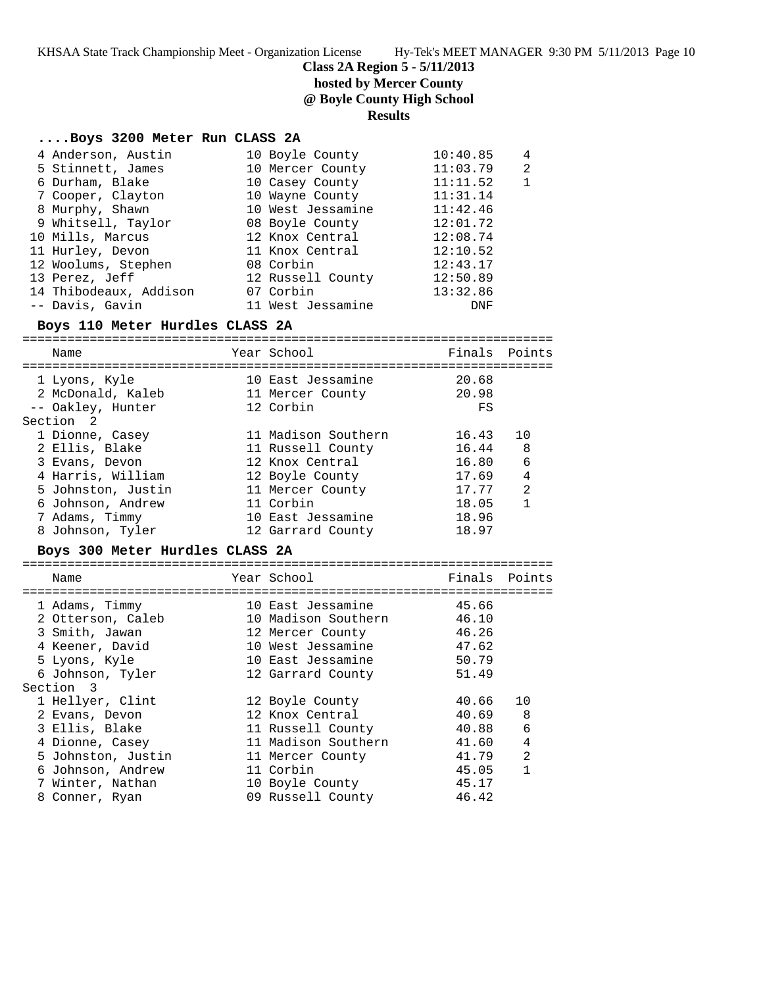KHSAA State Track Championship Meet - Organization License Hy-Tek's MEET MANAGER 9:30 PM 5/11/2013 Page 10

**Class 2A Region 5 - 5/11/2013**

**hosted by Mercer County**

**@ Boyle County High School**

# **Results**

# **....Boys 3200 Meter Run CLASS 2A**

| 4 Anderson, Austin              | 10 Boyle County     | 10:40.85 | 4            |
|---------------------------------|---------------------|----------|--------------|
| 5 Stinnett, James               | 10 Mercer County    | 11:03.79 | 2            |
| 6 Durham, Blake                 | 10 Casey County     | 11:11.52 | $\mathbf{1}$ |
| 7 Cooper, Clayton               | 10 Wayne County     | 11:31.14 |              |
| 8 Murphy, Shawn                 | 10 West Jessamine   | 11:42.46 |              |
| 9 Whitsell, Taylor              | 08 Boyle County     | 12:01.72 |              |
| 10 Mills, Marcus                | 12 Knox Central     | 12:08.74 |              |
| 11 Hurley, Devon                | 11 Knox Central     | 12:10.52 |              |
| 12 Woolums, Stephen             | 08 Corbin           | 12:43.17 |              |
| 13 Perez, Jeff                  | 12 Russell County   | 12:50.89 |              |
| 14 Thibodeaux, Addison          | 07 Corbin           | 13:32.86 |              |
| -- Davis, Gavin                 | 11 West Jessamine   | DNF      |              |
| Boys 110 Meter Hurdles CLASS 2A |                     |          |              |
| Name                            | Year School         | Finals   | Points       |
|                                 |                     |          |              |
| 1 Lyons, Kyle                   | 10 East Jessamine   | 20.68    |              |
| 2 McDonald, Kaleb               | 11 Mercer County    | 20.98    |              |
| -- Oakley, Hunter               | 12 Corbin           | FS       |              |
| Section 2                       |                     |          |              |
| 1 Dionne, Casey                 | 11 Madison Southern | 16.43    | 10           |
| 2 Ellis, Blake                  | 11 Russell County   | 16.44    | 8            |
| 3 Evans, Devon                  | 12 Knox Central     | 16.80    | 6            |
| 4 Harris, William               | 12 Boyle County     | 17.69    | 4            |
| 5 Johnston, Justin              | 11 Mercer County    | 17.77    | 2            |
| 6 Johnson, Andrew               | 11 Corbin           | 18.05    | $\mathbf{1}$ |
| 7 Adams, Timmy                  | 10 East Jessamine   | 18.96    |              |
| 8 Johnson, Tyler                | 12 Garrard County   | 18.97    |              |
| Boys 300 Meter Hurdles CLASS 2A |                     |          |              |
| Name                            | Year School         | Finals   | Points       |
|                                 |                     |          |              |
| 1 Adams, Timmy                  | 10 East Jessamine   | 45.66    |              |
| 2 Otterson, Caleb               | 10 Madison Southern | 46.10    |              |
| 3 Smith, Jawan                  | 12 Mercer County    | 46.26    |              |
| 4 Keener, David                 | 10 West Jessamine   | 47.62    |              |
| 5 Lyons, Kyle                   | 10 East Jessamine   | 50.79    |              |
| 6 Johnson, Tyler                | 12 Garrard County   | 51.49    |              |
| Section 3                       |                     |          |              |
| 1 Hellyer, Clint                | 12 Boyle County     | 40.66    | 10           |
| 2 Evans, Devon                  | 12 Knox Central     | 40.69    | 8            |
| 3 Ellis, Blake                  | 11 Russell County   | 40.88    | 6            |
| 4 Dionne, Casey                 | 11 Madison Southern | 41.60    | 4            |
| 5 Johnston, Justin              | 11 Mercer County    | 41.79    | 2            |
| 6 Johnson, Andrew               | 11 Corbin           | 45.05    | $\mathbf{1}$ |
| 7 Winter, Nathan                | 10 Boyle County     | 45.17    |              |
| 8 Conner, Ryan                  | 09 Russell County   | 46.42    |              |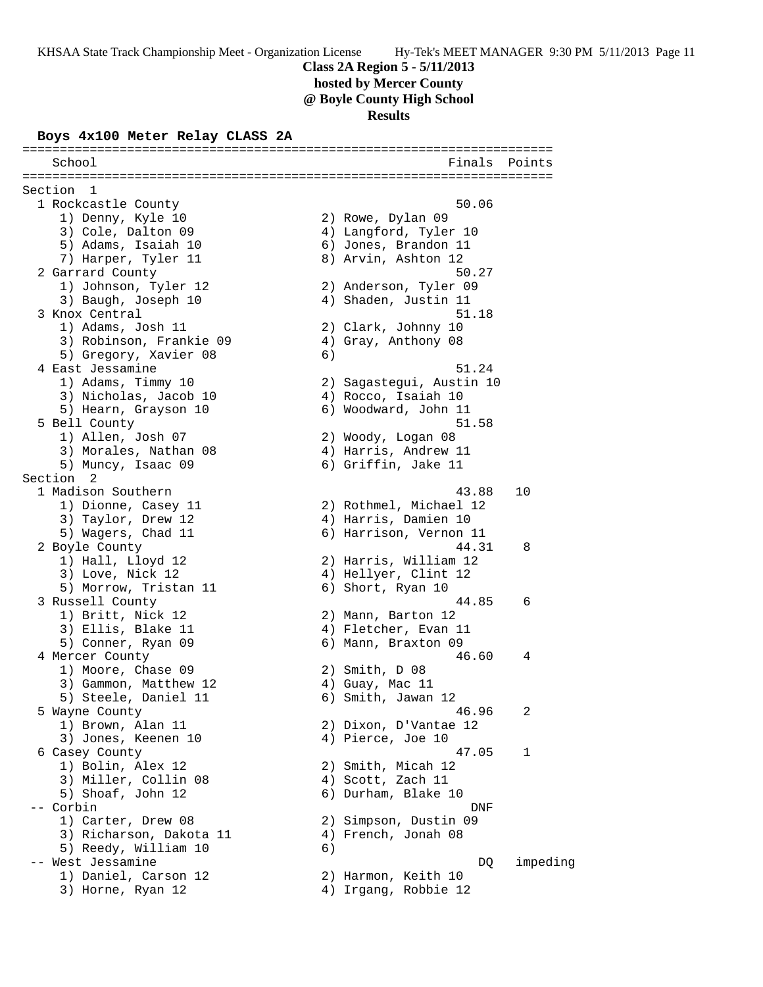# **Class 2A Region 5 - 5/11/2013 hosted by Mercer County @ Boyle County High School**

**Results**

#### **Boys 4x100 Meter Relay CLASS 2A**

======================================================================= School **Finals** Points **Points** ======================================================================= Section 1 1 Rockcastle County 50.06 1) Denny, Kyle 10 2) Rowe, Dylan 09 3) Cole, Dalton 09 4) Langford, Tyler 10 5) Adams, Isaiah 10  $\qquad \qquad$  6) Jones, Brandon 11 7) Harper, Tyler 11  $\qquad \qquad 8)$  Arvin, Ashton 12 2 Garrard County 50.27 1) Johnson, Tyler 12 2) Anderson, Tyler 09 3) Baugh, Joseph 10 4) Shaden, Justin 11 3 Knox Central 51.18 1) Adams, Josh 11 2) Clark, Johnny 10 3) Robinson, Frankie 09 4) Gray, Anthony 08 5) Gregory, Xavier 08 6) 4 East Jessamine **51.24**  1) Adams, Timmy 10 2) Sagastegui, Austin 10 3) Nicholas, Jacob 10  $\hskip1cm$  4) Rocco, Isaiah 10 5) Hearn, Grayson 10 6) Woodward, John 11 5 Bell County 51.58 1) Allen, Josh 07 2) Woody, Logan 08 3) Morales, Nathan 08 4) Harris, Andrew 11 5) Muncy, Isaac 09 6) Griffin, Jake 11 Section 2<br>1 Madison Southern 1 Madison Southern 43.88 10 1) Dionne, Casey 11 2) Rothmel, Michael 12 3) Taylor, Drew 12 (4) Harris, Damien 10 5) Wagers, Chad 11 6) Harrison, Vernon 11 2 Boyle County 44.31 8 1) Hall, Lloyd 12 2) Harris, William 12 3) Love, Nick 12 (4) Hellyer, Clint 12 5) Morrow, Tristan 11 6) Short, Ryan 10 3 Russell County 44.85 6 1) Britt, Nick 12 2) Mann, Barton 12 3) Ellis, Blake 11 (4) Fletcher, Evan 11 5) Conner, Ryan 09 6) Mann, Braxton 09 4 Mercer County 46.60 4 1) Moore, Chase 09 2) Smith, D 08 3) Gammon, Matthew 12 (4) Guay, Mac 11 5) Steele, Daniel 11 6) Smith, Jawan 12 5 Wayne County 46.96 2 1) Brown, Alan 11 2) Dixon, D'Vantae 12 3) Jones, Keenen 10 (4) Pierce, Joe 10 6 Casey County 47.05 1 1) Bolin, Alex 12 2) Smith, Micah 12 3) Miller, Collin 08 4) Scott, Zach 11 5) Shoaf, John 12 6) Durham, Blake 10 -- Corbin DNF 1) Carter, Drew 08 2) Simpson, Dustin 09 3) Richarson, Dakota 11 4) French, Jonah 08 5) Reedy, William 10 6) -- West Jessamine DQ impeding 1) Daniel, Carson 12 2) Harmon, Keith 10 3) Horne, Ryan 12 4) Irgang, Robbie 12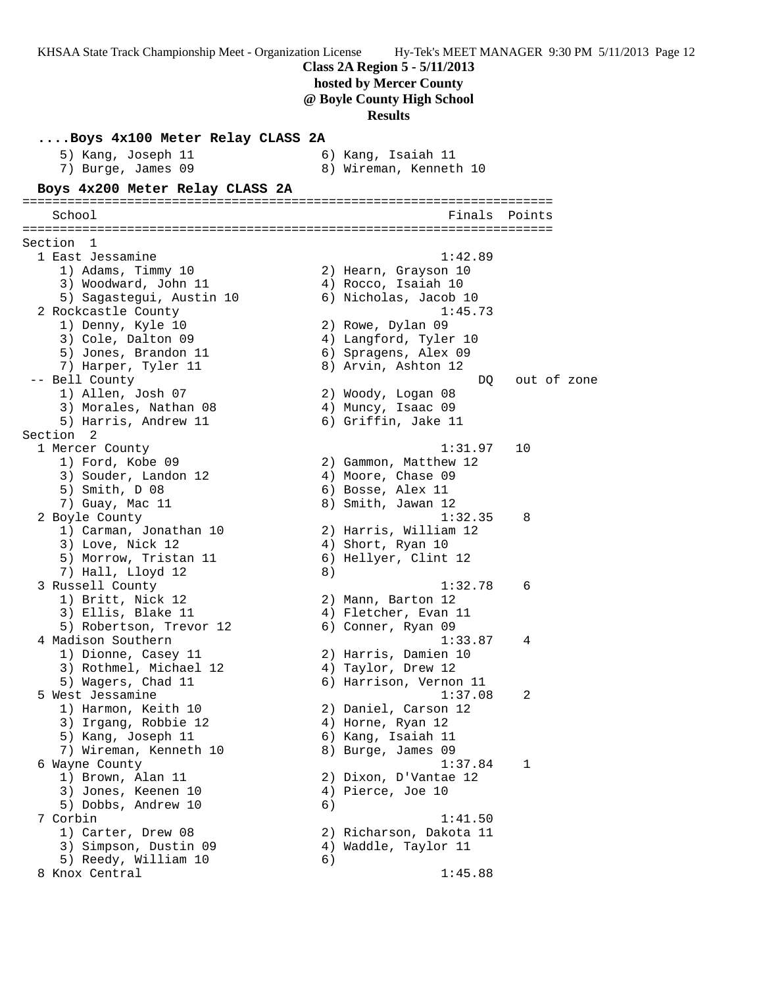KHSAA State Track Championship Meet - Organization License Hy-Tek's MEET MANAGER 9:30 PM 5/11/2013 Page 12 **Class 2A Region 5 - 5/11/2013 hosted by Mercer County @ Boyle County High School Results ....Boys 4x100 Meter Relay CLASS 2A**<br>5) Kang, Joseph 11 6) Kang, Isaiah 11<br>7) Burge, James 09 8) Wireman, Kenneth 10 5) Kang, Joseph 11 6) Kang, Isaiah 11 7) Burge, James 09 8) Wireman, Kenneth 10 **Boys 4x200 Meter Relay CLASS 2A** ======================================================================= School Finals Points ======================================================================= Section 1 1 East Jessamine 1:42.89 1) Adams, Timmy 10 2) Hearn, Grayson 10 3) Woodward, John 11 (4) Rocco, Isaiah 10 5) Sagastegui, Austin 10 6) Nicholas, Jacob 10 2 Rockcastle County 1:45.73 1) Denny, Kyle 10 2) Rowe, Dylan 09 3) Cole, Dalton 09 4) Langford, Tyler 10 5) Jones, Brandon 11 (6) Spragens, Alex 09 7) Harper, Tyler 11  $\qquad \qquad 8)$  Arvin, Ashton 12 -- Bell County and the set of zone of zone of zone of  $DQ$  out of zone 1) Allen, Josh 07 2) Woody, Logan 08 3) Morales, Nathan 08  $\hskip 1.5cm 4$ ) Muncy, Isaac 09 5) Harris, Andrew 11 6) Griffin, Jake 11 Section 2<br>1 Mercer County 1 Mercer County 1:31.97 10 1) Ford, Kobe 09 2) Gammon, Matthew 12 3) Souder, Landon 12 (4) Moore, Chase 09 5) Smith, D 08 6) Bosse, Alex 11 7) Guay, Mac 11 8) Smith, Jawan 12 2 Boyle County 1:32.35 8 1) Carman, Jonathan 10 2) Harris, William 12 3) Love, Nick 12 4) Short, Ryan 10 5) Morrow, Tristan 11 (6) Hellyer, Clint 12 7) Hall, Lloyd 12 8) 3 Russell County 1:32.78 6 1) Britt, Nick 12 2) Mann, Barton 12 3) Ellis, Blake 11 (4) Fletcher, Evan 11 5) Robertson, Trevor 12 (6) Conner, Ryan 09 4 Madison Southern 1:33.87 4 1) Dionne, Casey 11 2) Harris, Damien 10 3) Rothmel, Michael 12 4) Taylor, Drew 12 5) Wagers, Chad 11 6) Harrison, Vernon 11 5 West Jessamine 1:37.08 2 1) Harmon, Keith 10 2) Daniel, Carson 12 3) Irgang, Robbie 12 (4) Horne, Ryan 12 5) Kang, Joseph 11 6) Kang, Isaiah 11 7) Wireman, Kenneth 10  $\,$  8) Burge, James 09 6 Wayne County 1:37.84 1 1) Brown, Alan 11 2) Dixon, D'Vantae 12 3) Jones, Keenen 10 (4) Pierce, Joe 10 5) Dobbs, Andrew 10 6) 7 Corbin 1:41.50 1) Carter, Drew 08 2) Richarson, Dakota 11 3) Simpson, Dustin 09  $\hskip1cm \hskip1cm 4$ ) Waddle, Taylor 11 5) Reedy, William 10 6) 8 Knox Central 1:45.88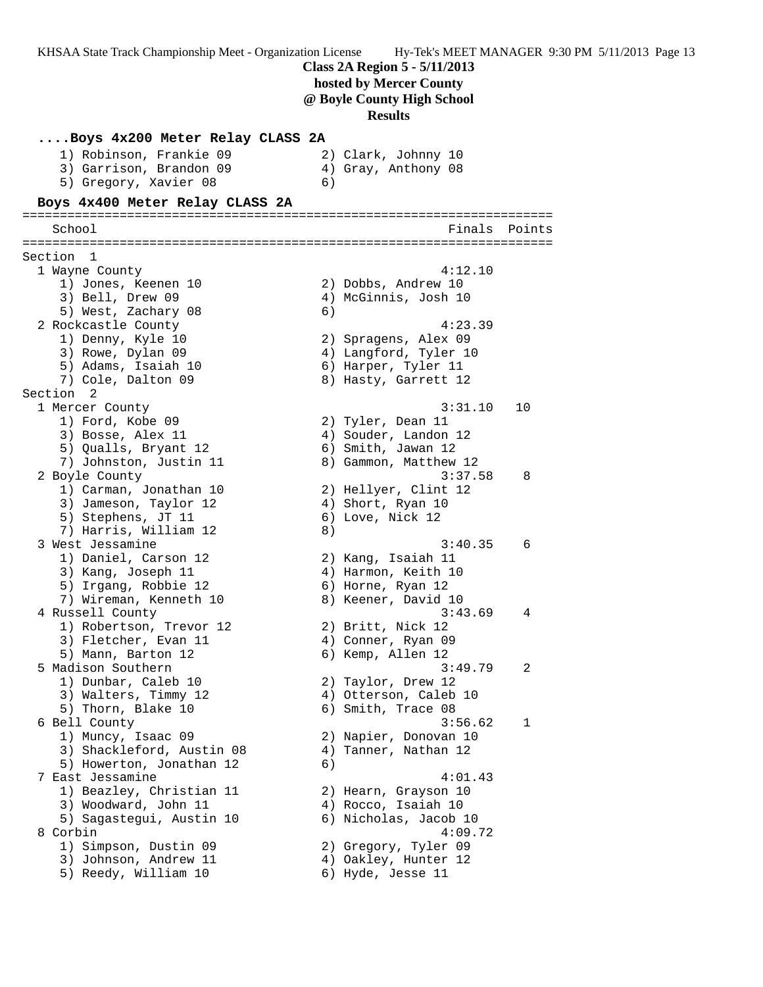**Class 2A Region 5 - 5/11/2013 hosted by Mercer County @ Boyle County High School Results ....Boys 4x200 Meter Relay CLASS 2A** 1) Robinson, Frankie 09 2) Clark, Johnny 10 3) Garrison, Brandon 09 4) Gray, Anthony 08 5) Gregory, Xavier 08 6) **Boys 4x400 Meter Relay CLASS 2A** ======================================================================= School **Finals Points** Points Points Points Points Points Points Points Points Points Points Points Points Points Points Points Points Points Points Points Points Points Points Points Points Points Points Points Points Poi ======================================================================= Section 1 1 Wayne County 4:12.10 1) Jones, Keenen 10 2) Dobbs, Andrew 10 3) Bell, Drew 09 4) McGinnis, Josh 10 5) West, Zachary 08 6) 2 Rockcastle County 4:23.39 1) Denny, Kyle 10 2) Spragens, Alex 09 3) Rowe, Dylan 09 4) Langford, Tyler 10 5) Adams, Isaiah 10  $\qquad \qquad$  6) Harper, Tyler 11 7) Cole, Dalton 09 8) Hasty, Garrett 12 Section 2 1 Mercer County 3:31.10 10 1) Ford, Kobe 09 2) Tyler, Dean 11 3) Bosse, Alex 11 (4) Souder, Landon 12 5) Qualls, Bryant 12 (6) Smith, Jawan 12 7) Johnston, Justin 11 8) Gammon, Matthew 12 2 Boyle County 3:37.58 8 1) Carman, Jonathan 10 2) Hellyer, Clint 12 3) Jameson, Taylor 12 (4) Short, Ryan 10 5) Stephens, JT 11 6) Love, Nick 12 7) Harris, William 12 (8) 3 West Jessamine 3:40.35 6 1) Daniel, Carson 12 2) Kang, Isaiah 11 3) Kang, Joseph 11 (4) Harmon, Keith 10 5) Irgang, Robbie 12 6) Horne, Ryan 12 7) Wireman, Kenneth 10  $\hphantom{\text{2.65}$  8) Keener, David 10 4 Russell County 3:43.69 4 1) Robertson, Trevor 12 (2) Britt, Nick 12 3) Fletcher, Evan 11 (4) Conner, Ryan 09 5) Mann, Barton 12 (6) Kemp, Allen 12 5 Madison Southern 3:49.79 2 1) Dunbar, Caleb 10 2) Taylor, Drew 12 3) Walters, Timmy 12  $\begin{array}{ccc} 4 & 4 \end{array}$  Otterson, Caleb 10 5) Thorn, Blake 10 6) Smith, Trace 08 6 Bell County 3:56.62 1 1) Muncy, Isaac 09 2) Napier, Donovan 10 3) Shackleford, Austin 08 4) Tanner, Nathan 12 5) Howerton, Jonathan 12 (6) 7 East Jessamine 4:01.43 1) Beazley, Christian 11 2) Hearn, Grayson 10 3) Woodward, John 11 (4) Rocco, Isaiah 10 5) Sagastegui, Austin 10 6) Nicholas, Jacob 10 8 Corbin 4:09.72 1) Simpson, Dustin 09 2) Gregory, Tyler 09 3) Johnson, Andrew 11  $\hskip1cm \hskip 4.6 cm 4$ ) Oakley, Hunter 12 5) Reedy, William 10 6) Hyde, Jesse 11

KHSAA State Track Championship Meet - Organization License Hy-Tek's MEET MANAGER 9:30 PM 5/11/2013 Page 13